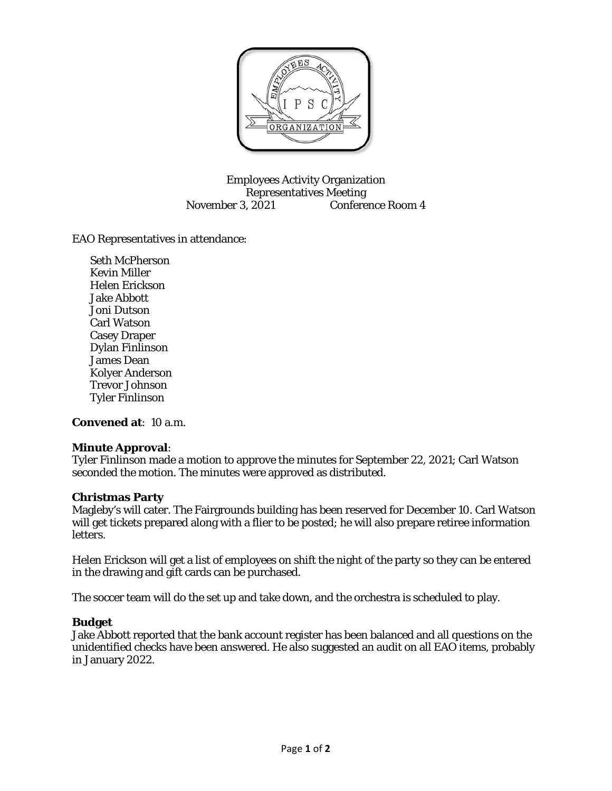

Employees Activity Organization Representatives Meeting November 3, 2021 Conference Room 4

EAO Representatives in attendance:

Seth McPherson Kevin Miller Helen Erickson Jake Abbott Joni Dutson Carl Watson Casey Draper Dylan Finlinson James Dean Kolyer Anderson Trevor Johnson Tyler Finlinson

**Convened at**: 10 a.m.

## **Minute Approval**:

Tyler Finlinson made a motion to approve the minutes for September 22, 2021; Carl Watson seconded the motion. The minutes were approved as distributed.

## **Christmas Party**

Magleby's will cater. The Fairgrounds building has been reserved for December 10. Carl Watson will get tickets prepared along with a flier to be posted; he will also prepare retiree information letters.

Helen Erickson will get a list of employees on shift the night of the party so they can be entered in the drawing and gift cards can be purchased.

The soccer team will do the set up and take down, and the orchestra is scheduled to play.

## **Budget**

Jake Abbott reported that the bank account register has been balanced and all questions on the unidentified checks have been answered. He also suggested an audit on all EAO items, probably in January 2022.